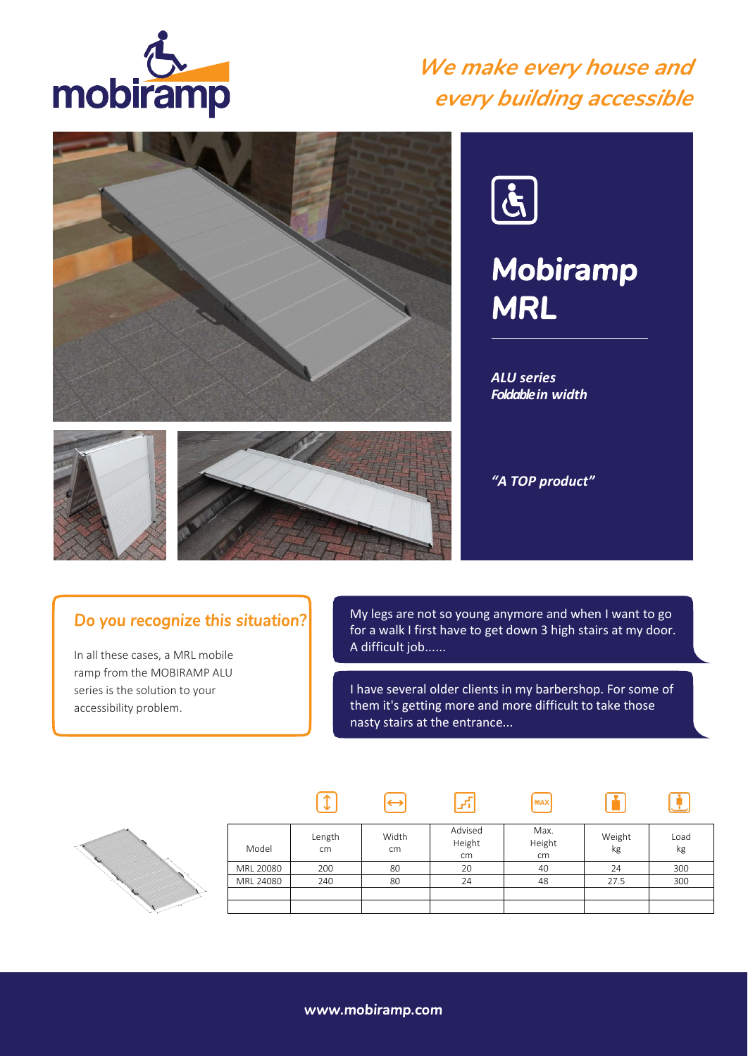

## *We make every house and every building accessible*





# *Mobiramp MRL*

*ALU series Foldable in width*







 $\sqrt{1}$ 

### Do you recognize this situation?

In all these cases, a MRL mobile ramp from the MOBIRAMP ALU series is the solution to your accessibility problem.

My legs are not so young anymore and when I want to go for a walk I first have to get down 3 high stairs at my door. A difficult job......

I have several older clients in my barbershop. For some of them it's getting more and more difficult to take those nasty stairs at the entrance...

**MAX** 

m

 $\mathbf{G}$ 



| Model     | Length<br>cm | Width<br>cm | Advised<br>Height<br>cm | Max.<br>Height<br>cm | Weight<br>kg | Load<br>kg |
|-----------|--------------|-------------|-------------------------|----------------------|--------------|------------|
| MRL 20080 | 200          | 80          | 20                      | 40                   | 24           | 300        |
| MRL 24080 | 240          | 80          | 24                      | 48                   | 27.5         | 300        |
|           |              |             |                         |                      |              |            |
|           |              |             |                         |                      |              |            |

 $\sqrt{r_{\rm s}}$ 

 $\Theta$